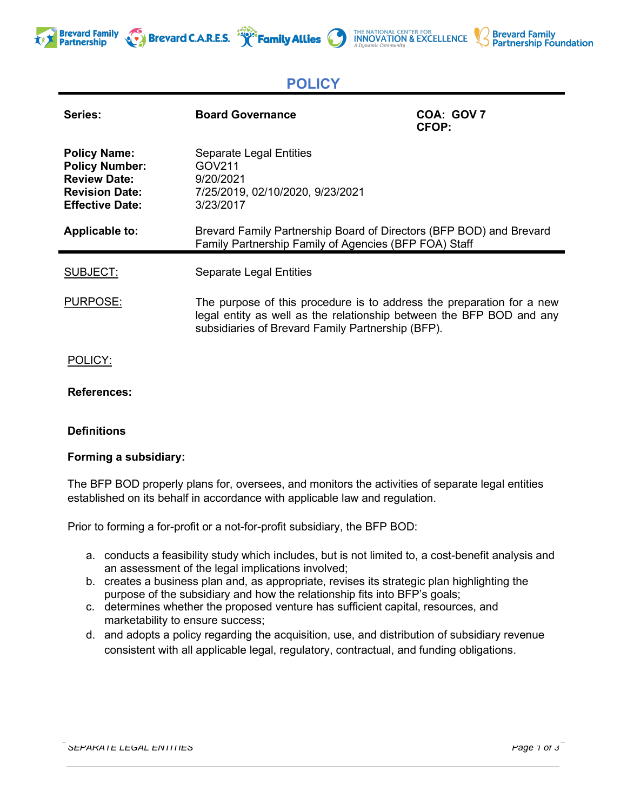





# **POLICY**

| Series:                                                                                                                | <b>Board Governance</b>                                                                                                                                                                            | COA: GOV 7<br><b>CFOP:</b> |
|------------------------------------------------------------------------------------------------------------------------|----------------------------------------------------------------------------------------------------------------------------------------------------------------------------------------------------|----------------------------|
| <b>Policy Name:</b><br><b>Policy Number:</b><br><b>Review Date:</b><br><b>Revision Date:</b><br><b>Effective Date:</b> | <b>Separate Legal Entities</b><br>GOV211<br>9/20/2021<br>7/25/2019, 02/10/2020, 9/23/2021<br>3/23/2017                                                                                             |                            |
| Applicable to:                                                                                                         | Brevard Family Partnership Board of Directors (BFP BOD) and Brevard<br>Family Partnership Family of Agencies (BFP FOA) Staff                                                                       |                            |
| SUBJECT:                                                                                                               | <b>Separate Legal Entities</b>                                                                                                                                                                     |                            |
| PURPOSE:                                                                                                               | The purpose of this procedure is to address the preparation for a new<br>legal entity as well as the relationship between the BFP BOD and any<br>subsidiaries of Brevard Family Partnership (BFP). |                            |
| POLICY:                                                                                                                |                                                                                                                                                                                                    |                            |

## **References:**

**Brevard Family** 

**Partnership** 

## **Definitions**

### **Forming a subsidiary:**

The BFP BOD properly plans for, oversees, and monitors the activities of separate legal entities established on its behalf in accordance with applicable law and regulation.

Prior to forming a for-profit or a not-for-profit subsidiary, the BFP BOD:

- a. conducts a feasibility study which includes, but is not limited to, a cost-benefit analysis and an assessment of the legal implications involved;
- b. creates a business plan and, as appropriate, revises its strategic plan highlighting the purpose of the subsidiary and how the relationship fits into BFP's goals;
- c. determines whether the proposed venture has sufficient capital, resources, and marketability to ensure success;
- d. and adopts a policy regarding the acquisition, use, and distribution of subsidiary revenue consistent with all applicable legal, regulatory, contractual, and funding obligations.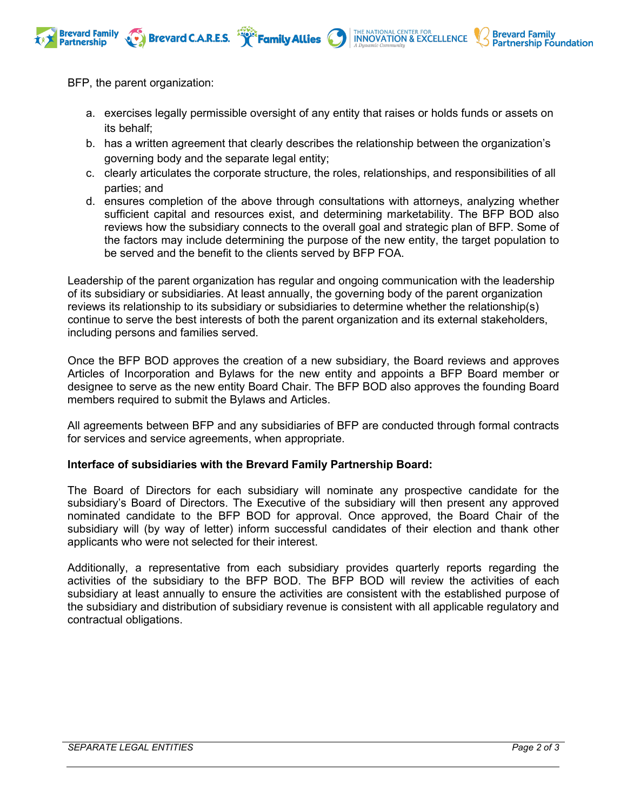

BFP, the parent organization:

a. exercises legally permissible oversight of any entity that raises or holds funds or assets on its behalf;

THE NATIONAL CENTER FOR **INNOVATION & EXCELLENCE** 

**Brevard Family** 

**Partnership Foundation** 

- b. has a written agreement that clearly describes the relationship between the organization's governing body and the separate legal entity;
- c. clearly articulates the corporate structure, the roles, relationships, and responsibilities of all parties; and
- d. ensures completion of the above through consultations with attorneys, analyzing whether sufficient capital and resources exist, and determining marketability. The BFP BOD also reviews how the subsidiary connects to the overall goal and strategic plan of BFP. Some of the factors may include determining the purpose of the new entity, the target population to be served and the benefit to the clients served by BFP FOA.

Leadership of the parent organization has regular and ongoing communication with the leadership of its subsidiary or subsidiaries. At least annually, the governing body of the parent organization reviews its relationship to its subsidiary or subsidiaries to determine whether the relationship(s) continue to serve the best interests of both the parent organization and its external stakeholders, including persons and families served.

Once the BFP BOD approves the creation of a new subsidiary, the Board reviews and approves Articles of Incorporation and Bylaws for the new entity and appoints a BFP Board member or designee to serve as the new entity Board Chair. The BFP BOD also approves the founding Board members required to submit the Bylaws and Articles.

All agreements between BFP and any subsidiaries of BFP are conducted through formal contracts for services and service agreements, when appropriate.

### **Interface of subsidiaries with the Brevard Family Partnership Board:**

The Board of Directors for each subsidiary will nominate any prospective candidate for the subsidiary's Board of Directors. The Executive of the subsidiary will then present any approved nominated candidate to the BFP BOD for approval. Once approved, the Board Chair of the subsidiary will (by way of letter) inform successful candidates of their election and thank other applicants who were not selected for their interest.

Additionally, a representative from each subsidiary provides quarterly reports regarding the activities of the subsidiary to the BFP BOD. The BFP BOD will review the activities of each subsidiary at least annually to ensure the activities are consistent with the established purpose of the subsidiary and distribution of subsidiary revenue is consistent with all applicable regulatory and contractual obligations.